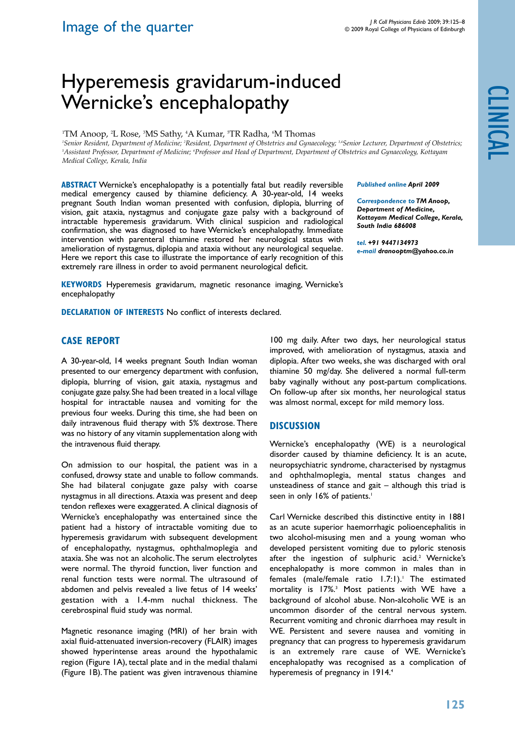# Hyperemesis gravidarum-induced Wernicke's encephalopathy

<sup>1</sup>TM Anoop, <sup>2</sup>L Rose, <sup>3</sup>MS Sathy, <sup>4</sup>A Kumar, <sup>5</sup>TR Radha, <sup>6</sup>M Thomas

<sup>1</sup>Senior Resident, Department of Medicine; <sup>2</sup>Resident, Department of Obstetrics and Gynaecology; <sup>3,4</sup>Senior Lecturer, Department of Obstetrics;<br><sup>5</sup>Assistant Professor, Department of Medicine: <sup>6</sup>Professor and Head of De Assistant Professor, Department of Medicine; <sup>6</sup>Professor and Head of Department, Department of Obstetrics and Gynaecology, Kottayam *Medical College, Kerala, India*

**ABSTRACT** Wernicke's encephalopathy is a potentially fatal but readily reversible medical emergency caused by thiamine deficiency. A 30-year-old, 14 weeks pregnant South Indian woman presented with confusion, diplopia, blurring of vision, gait ataxia, nystagmus and conjugate gaze palsy with a background of intractable hyperemesis gravidarum. With clinical suspicion and radiological confirmation, she was diagnosed to have Wernicke's encephalopathy. Immediate intervention with parenteral thiamine restored her neurological status with amelioration of nystagmus, diplopia and ataxia without any neurological sequelae. Here we report this case to illustrate the importance of early recognition of this extremely rare illness in order to avoid permanent neurological deficit.

*Published online April 2009* 

*Correspondence to TM Anoop, Department of Medicine, Kottayam Medical College, Kerala, South India 686008*

clinical

*tel. +91 9447134973 e-mail dranooptm@yahoo.co.in*

**KEYWORDS** Hyperemesis gravidarum, magnetic resonance imaging, Wernicke's encephalopathy

**Declaration of Interests** No conflict of interests declared.

## **CASE REPORT**

A 30-year-old, 14 weeks pregnant South Indian woman presented to our emergency department with confusion, diplopia, blurring of vision, gait ataxia, nystagmus and conjugate gaze palsy. She had been treated in a local village hospital for intractable nausea and vomiting for the previous four weeks. During this time, she had been on daily intravenous fluid therapy with 5% dextrose. There was no history of any vitamin supplementation along with the intravenous fluid therapy.

On admission to our hospital, the patient was in a confused, drowsy state and unable to follow commands. She had bilateral conjugate gaze palsy with coarse nystagmus in all directions. Ataxia was present and deep tendon reflexes were exaggerated. A clinical diagnosis of Wernicke's encephalopathy was entertained since the patient had a history of intractable vomiting due to hyperemesis gravidarum with subsequent development of encephalopathy, nystagmus, ophthalmoplegia and ataxia. She was not an alcoholic. The serum electrolytes were normal. The thyroid function, liver function and renal function tests were normal. The ultrasound of abdomen and pelvis revealed a live fetus of 14 weeks' gestation with a 1.4-mm nuchal thickness. The cerebrospinal fluid study was normal.

Magnetic resonance imaging (MRI) of her brain with axial fluid-attenuated inversion-recovery (FLAIR) images showed hyperintense areas around the hypothalamic region (Figure 1A), tectal plate and in the medial thalami (Figure 1B). The patient was given intravenous thiamine

100 mg daily. After two days, her neurological status improved, with amelioration of nystagmus, ataxia and diplopia. After two weeks, she was discharged with oral thiamine 50 mg/day. She delivered a normal full-term baby vaginally without any post-partum complications. On follow-up after six months, her neurological status was almost normal, except for mild memory loss.

### **DISCUSSION**

Wernicke's encephalopathy (WE) is a neurological disorder caused by thiamine deficiency. It is an acute, neuropsychiatric syndrome, characterised by nystagmus and ophthalmoplegia, mental status changes and unsteadiness of stance and gait – although this triad is seen in only 16% of patients.<sup>1</sup>

Carl Wernicke described this distinctive entity in 1881 as an acute superior haemorrhagic polioencephalitis in two alcohol-misusing men and a young woman who developed persistent vomiting due to pyloric stenosis after the ingestion of sulphuric acid.<sup>2</sup> Wernicke's encephalopathy is more common in males than in females (male/female ratio 1.7:1).<sup>1</sup> The estimated mortality is 17%.3 Most patients with WE have a background of alcohol abuse. Non-alcoholic WE is an uncommon disorder of the central nervous system. Recurrent vomiting and chronic diarrhoea may result in WE. Persistent and severe nausea and vomiting in pregnancy that can progress to hyperemesis gravidarum is an extremely rare cause of WE. Wernicke's encephalopathy was recognised as a complication of hyperemesis of pregnancy in 1914.<sup>4</sup>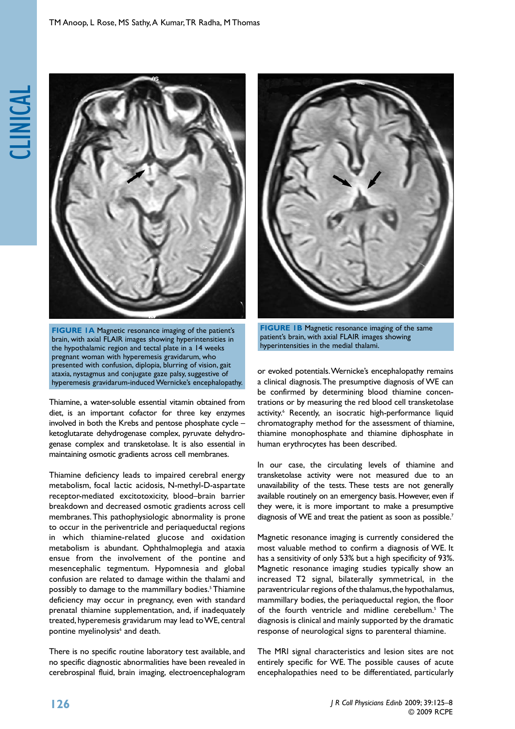

**FIGURE 1A Magnetic resonance imaging of the patient's** brain, with axial FLAIR images showing hyperintensities in the hypothalamic region and tectal plate in a 14 weeks pregnant woman with hyperemesis gravidarum, who presented with confusion, diplopia, blurring of vision, gait ataxia, nystagmus and conjugate gaze palsy, suggestive of hyperemesis gravidarum-induced Wernicke's encephalopathy.

Thiamine, a water-soluble essential vitamin obtained from diet, is an important cofactor for three key enzymes involved in both the Krebs and pentose phosphate cycle – ketoglutarate dehydrogenase complex, pyruvate dehydrogenase complex and transketolase. It is also essential in maintaining osmotic gradients across cell membranes.

Thiamine deficiency leads to impaired cerebral energy metabolism, focal lactic acidosis, N-methyl-D-aspartate receptor-mediated excitotoxicity, blood–brain barrier breakdown and decreased osmotic gradients across cell membranes. This pathophysiologic abnormality is prone to occur in the periventricle and periaqueductal regions in which thiamine-related glucose and oxidation metabolism is abundant. Ophthalmoplegia and ataxia ensue from the involvement of the pontine and mesencephalic tegmentum. Hypomnesia and global confusion are related to damage within the thalami and possibly to damage to the mammillary bodies.<sup>5</sup> Thiamine deficiency may occur in pregnancy, even with standard prenatal thiamine supplementation, and, if inadequately treated, hyperemesis gravidarum may lead to WE, central pontine myelinolysis<sup>6</sup> and death.

There is no specific routine laboratory test available, and no specific diagnostic abnormalities have been revealed in cerebrospinal fluid, brain imaging, electroencephalogram



**FIGURE 1B** Magnetic resonance imaging of the same patient's brain, with axial FLAIR images showing hyperintensities in the medial thalami.

or evoked potentials. Wernicke's encephalopathy remains a clinical diagnosis. The presumptive diagnosis of WE can be confirmed by determining blood thiamine concentrations or by measuring the red blood cell transketolase activity.<sup>6</sup> Recently, an isocratic high-performance liquid chromatography method for the assessment of thiamine, thiamine monophosphate and thiamine diphosphate in human erythrocytes has been described.

In our case, the circulating levels of thiamine and transketolase activity were not measured due to an unavailability of the tests. These tests are not generally available routinely on an emergency basis. However, even if they were, it is more important to make a presumptive diagnosis of WE and treat the patient as soon as possible.<sup>7</sup>

Magnetic resonance imaging is currently considered the most valuable method to confirm a diagnosis of WE. It has a sensitivity of only 53% but a high specificity of 93%. Magnetic resonance imaging studies typically show an increased T2 signal, bilaterally symmetrical, in the paraventricular regions of the thalamus, the hypothalamus, mammillary bodies, the periaqueductal region, the floor of the fourth ventricle and midline cerebellum.<sup>5</sup> The diagnosis is clinical and mainly supported by the dramatic response of neurological signs to parenteral thiamine.

The MRI signal characteristics and lesion sites are not entirely specific for WE. The possible causes of acute encephalopathies need to be differentiated, particularly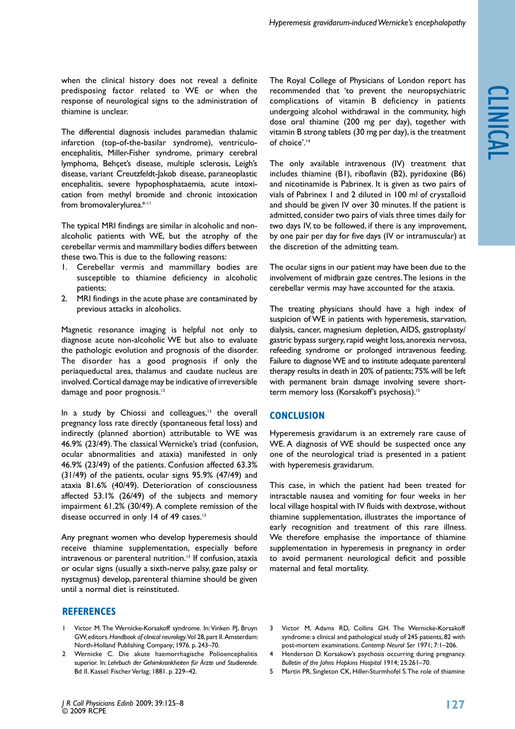when the clinical history does not reveal a definite predisposing factor related to WE or when the response of neurological signs to the administration of thiamine is unclear.

The differential diagnosis includes paramedian thalamic infarction (top-of-the-basilar syndrome), ventriculoencephalitis, Miller-Fisher syndrome, primary cerebral lymphoma, Behçet's disease, multiple sclerosis, Leigh's disease, variant Creutzfeldt-Jakob disease, paraneoplastic encephalitis, severe hypophosphataemia, acute intoxication from methyl bromide and chronic intoxication from bromovalerylurea. 8-11

The typical MRI findings are similar in alcoholic and nonalcoholic patients with WE, but the atrophy of the cerebellar vermis and mammillary bodies differs between these two. This is due to the following reasons:

- 1. Cerebellar vermis and mammillary bodies are susceptible to thiamine deficiency in alcoholic patients;
- 2. MRI findings in the acute phase are contaminated by previous attacks in alcoholics.

Magnetic resonance imaging is helpful not only to diagnose acute non-alcoholic WE but also to evaluate the pathologic evolution and prognosis of the disorder. The disorder has a good prognosis if only the periaqueductal area, thalamus and caudate nucleus are involved. Cortical damage may be indicative of irreversible damage and poor prognosis.<sup>12</sup>

In a study by Chiossi and colleagues. $13$  the overall pregnancy loss rate directly (spontaneous fetal loss) and indirectly (planned abortion) attributable to WE was 46.9% (23/49). The classical Wernicke's triad (confusion, ocular abnormalities and ataxia) manifested in only 46.9% (23/49) of the patients. Confusion affected 63.3% (31/49) of the patients, ocular signs 95.9% (47/49) and ataxia 81.6% (40/49). Deterioration of consciousness affected 53.1% (26/49) of the subjects and memory impairment 61.2% (30/49). A complete remission of the disease occurred in only 14 of 49 cases.<sup>13</sup>

Any pregnant women who develop hyperemesis should receive thiamine supplementation, especially before intravenous or parenteral nutrition.<sup>13</sup> If confusion, ataxia or ocular signs (usually a sixth-nerve palsy, gaze palsy or nystagmus) develop, parenteral thiamine should be given until a normal diet is reinstituted.

## **References**

- 1 Victor M. The Wernicke-Korsakoff syndrome. In: Vinken PJ, Bruyn GW, editors. *Handbook of clinical neurology.* Vol 28, part II. Amsterdam: North-Holland Publishing Company; 1976. p. 243–70.
- 2 Wernicke C. Die akute haemorrhagische Polioencephalitis superior. In: *Lehrbuch der Gehirnkrankheiten für Ärzte und Studierende*. Bd II. Kassel: Fischer Verlag; 1881. p. 229–42.

The Royal College of Physicians of London report has recommended that 'to prevent the neuropsychiatric complications of vitamin B deficiency in patients undergoing alcohol withdrawal in the community, high dose oral thiamine (200 mg per day), together with vitamin B strong tablets (30 mg per day), is the treatment of choice'.<sup>14</sup>

The only available intravenous (IV) treatment that includes thiamine (B1), riboflavin (B2), pyridoxine (B6) and nicotinamide is Pabrinex. It is given as two pairs of vials of Pabrinex 1 and 2 diluted in 100 ml of crystalloid and should be given IV over 30 minutes. If the patient is admitted, consider two pairs of vials three times daily for two days IV, to be followed, if there is any improvement, by one pair per day for five days (IV or intramuscular) at the discretion of the admitting team.

The ocular signs in our patient may have been due to the involvement of midbrain gaze centres. The lesions in the cerebellar vermis may have accounted for the ataxia.

The treating physicians should have a high index of suspicion of WE in patients with hyperemesis, starvation, dialysis, cancer, magnesium depletion, AIDS, gastroplasty/ gastric bypass surgery, rapid weight loss, anorexia nervosa, refeeding syndrome or prolonged intravenous feeding. Failure to diagnose WE and to institute adequate parenteral therapy results in death in 20% of patients; 75% will be left with permanent brain damage involving severe shortterm memory loss (Korsakoff's psychosis).<sup>15</sup>

## **CONCLUSION**

Hyperemesis gravidarum is an extremely rare cause of WE. A diagnosis of WE should be suspected once any one of the neurological triad is presented in a patient with hyperemesis gravidarum.

This case, in which the patient had been treated for intractable nausea and vomiting for four weeks in her local village hospital with IV fluids with dextrose, without thiamine supplementation, illustrates the importance of early recognition and treatment of this rare illness. We therefore emphasise the importance of thiamine supplementation in hyperemesis in pregnancy in order to avoid permanent neurological deficit and possible maternal and fetal mortality.

- 3 Victor M, Adams RD, Collins GH. The Wernicke-Korsakoff syndrome: a clinical and pathological study of 245 patients, 82 with post-mortem examinations. *Contemp Neurol Ser* 1971; 7:1–206.
- 4 Henderson D. Korsakow's psychosis occurring during pregnancy. *Bulletin of the Johns Hopkins Hospital* 1914; 25:261–70.
- 5 Martin PR, Singleton CK, Hiller-Sturmhofel S. The role of thiamine